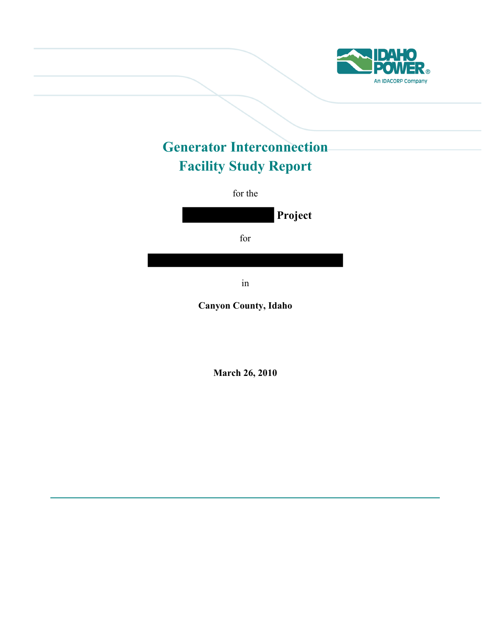

# **Generator Interconnection Facility Study Report**

for the

**Project**  for

in

**Canyon County, Idaho** 

**March 26, 2010**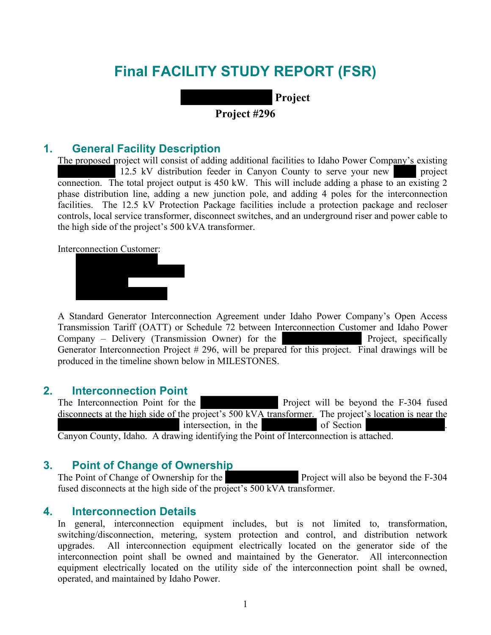# **Final FACILITY STUDY REPORT (FSR)**

 **Project** 

# **Project #296**

## **1. General Facility Description**

The proposed project will consist of adding additional facilities to Idaho Power Company's existing 12.5 kV distribution feeder in Canyon County to serve your new project connection. The total project output is 450 kW. This will include adding a phase to an existing 2 phase distribution line, adding a new junction pole, and adding 4 poles for the interconnection facilities. The 12.5 kV Protection Package facilities include a protection package and recloser controls, local service transformer, disconnect switches, and an underground riser and power cable to the high side of the project's 500 kVA transformer.

Interconnection Customer:



A Standard Generator Interconnection Agreement under Idaho Power Company's Open Access Transmission Tariff (OATT) or Schedule 72 between Interconnection Customer and Idaho Power Company – Delivery (Transmission Owner) for the Project, specifically Generator Interconnection Project # 296, will be prepared for this project. Final drawings will be produced in the timeline shown below in MILESTONES.

### **2. Interconnection Point**

The Interconnection Point for the Project will be beyond the F-304 fused disconnects at the high side of the project's 500 kVA transformer. The project's location is near the intersection, in the of Section Canyon County, Idaho. A drawing identifying the Point of Interconnection is attached.

# **3. Point of Change of Ownership**

The Point of Change of Ownership for the Project will also be beyond the F-304 fused disconnects at the high side of the project's 500 kVA transformer.

# **4. Interconnection Details**

In general, interconnection equipment includes, but is not limited to, transformation, switching/disconnection, metering, system protection and control, and distribution network upgrades. All interconnection equipment electrically located on the generator side of the interconnection point shall be owned and maintained by the Generator. All interconnection equipment electrically located on the utility side of the interconnection point shall be owned, operated, and maintained by Idaho Power.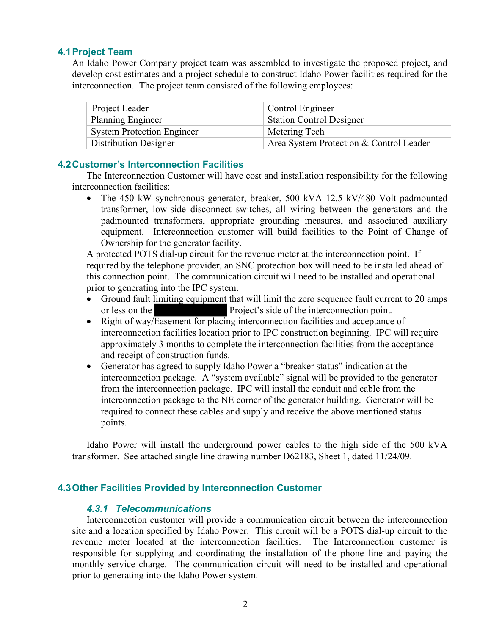## **4.1 Project Team**

An Idaho Power Company project team was assembled to investigate the proposed project, and develop cost estimates and a project schedule to construct Idaho Power facilities required for the interconnection. The project team consisted of the following employees:

| Project Leader                    | Control Engineer                        |
|-----------------------------------|-----------------------------------------|
| <b>Planning Engineer</b>          | <b>Station Control Designer</b>         |
| <b>System Protection Engineer</b> | Metering Tech                           |
| <b>Distribution Designer</b>      | Area System Protection & Control Leader |

## **4.2 Customer's Interconnection Facilities**

The Interconnection Customer will have cost and installation responsibility for the following interconnection facilities:

 The 450 kW synchronous generator, breaker, 500 kVA 12.5 kV/480 Volt padmounted transformer, low-side disconnect switches, all wiring between the generators and the padmounted transformers, appropriate grounding measures, and associated auxiliary equipment. Interconnection customer will build facilities to the Point of Change of Ownership for the generator facility.

A protected POTS dial-up circuit for the revenue meter at the interconnection point. If required by the telephone provider, an SNC protection box will need to be installed ahead of this connection point. The communication circuit will need to be installed and operational prior to generating into the IPC system.

- Ground fault limiting equipment that will limit the zero sequence fault current to 20 amps or less on the Project's side of the interconnection point.
- Right of way/Easement for placing interconnection facilities and acceptance of interconnection facilities location prior to IPC construction beginning. IPC will require approximately 3 months to complete the interconnection facilities from the acceptance and receipt of construction funds.
- Generator has agreed to supply Idaho Power a "breaker status" indication at the interconnection package. A "system available" signal will be provided to the generator from the interconnection package. IPC will install the conduit and cable from the interconnection package to the NE corner of the generator building. Generator will be required to connect these cables and supply and receive the above mentioned status points.

Idaho Power will install the underground power cables to the high side of the 500 kVA transformer. See attached single line drawing number D62183, Sheet 1, dated 11/24/09.

# **4.3 Other Facilities Provided by Interconnection Customer**

### *4.3.1 Telecommunications*

Interconnection customer will provide a communication circuit between the interconnection site and a location specified by Idaho Power. This circuit will be a POTS dial-up circuit to the revenue meter located at the interconnection facilities. The Interconnection customer is responsible for supplying and coordinating the installation of the phone line and paying the monthly service charge. The communication circuit will need to be installed and operational prior to generating into the Idaho Power system.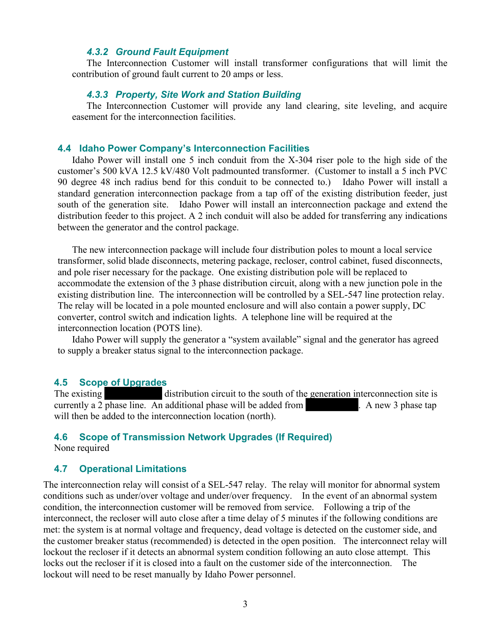#### *4.3.2 Ground Fault Equipment*

The Interconnection Customer will install transformer configurations that will limit the contribution of ground fault current to 20 amps or less.

#### *4.3.3 Property, Site Work and Station Building*

The Interconnection Customer will provide any land clearing, site leveling, and acquire easement for the interconnection facilities.

#### **4.4 Idaho Power Company's Interconnection Facilities**

Idaho Power will install one 5 inch conduit from the X-304 riser pole to the high side of the customer's 500 kVA 12.5 kV/480 Volt padmounted transformer. (Customer to install a 5 inch PVC 90 degree 48 inch radius bend for this conduit to be connected to.) Idaho Power will install a standard generation interconnection package from a tap off of the existing distribution feeder, just south of the generation site. Idaho Power will install an interconnection package and extend the distribution feeder to this project. A 2 inch conduit will also be added for transferring any indications between the generator and the control package.

The new interconnection package will include four distribution poles to mount a local service transformer, solid blade disconnects, metering package, recloser, control cabinet, fused disconnects, and pole riser necessary for the package. One existing distribution pole will be replaced to accommodate the extension of the 3 phase distribution circuit, along with a new junction pole in the existing distribution line. The interconnection will be controlled by a SEL-547 line protection relay. The relay will be located in a pole mounted enclosure and will also contain a power supply, DC converter, control switch and indication lights. A telephone line will be required at the interconnection location (POTS line).

Idaho Power will supply the generator a "system available" signal and the generator has agreed to supply a breaker status signal to the interconnection package.

#### **4.5 Scope of Upgrades**

The existing distribution circuit to the south of the generation interconnection site is currently a 2 phase line. An additional phase will be added from . A new 3 phase tap will then be added to the interconnection location (north).

## **4.6 Scope of Transmission Network Upgrades (If Required)**

None required

### **4.7 Operational Limitations**

The interconnection relay will consist of a SEL-547 relay. The relay will monitor for abnormal system conditions such as under/over voltage and under/over frequency. In the event of an abnormal system condition, the interconnection customer will be removed from service. Following a trip of the interconnect, the recloser will auto close after a time delay of 5 minutes if the following conditions are met: the system is at normal voltage and frequency, dead voltage is detected on the customer side, and the customer breaker status (recommended) is detected in the open position. The interconnect relay will lockout the recloser if it detects an abnormal system condition following an auto close attempt. This locks out the recloser if it is closed into a fault on the customer side of the interconnection. The lockout will need to be reset manually by Idaho Power personnel.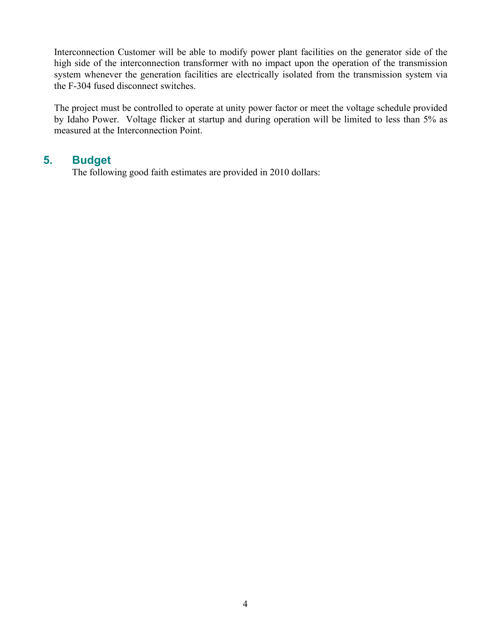Interconnection Customer will be able to modify power plant facilities on the generator side of the high side of the interconnection transformer with no impact upon the operation of the transmission system whenever the generation facilities are electrically isolated from the transmission system via the F-304 fused disconnect switches.

The project must be controlled to operate at unity power factor or meet the voltage schedule provided by Idaho Power. Voltage flicker at startup and during operation will be limited to less than 5% as measured at the Interconnection Point.

# **5. Budget**

The following good faith estimates are provided in 2010 dollars: